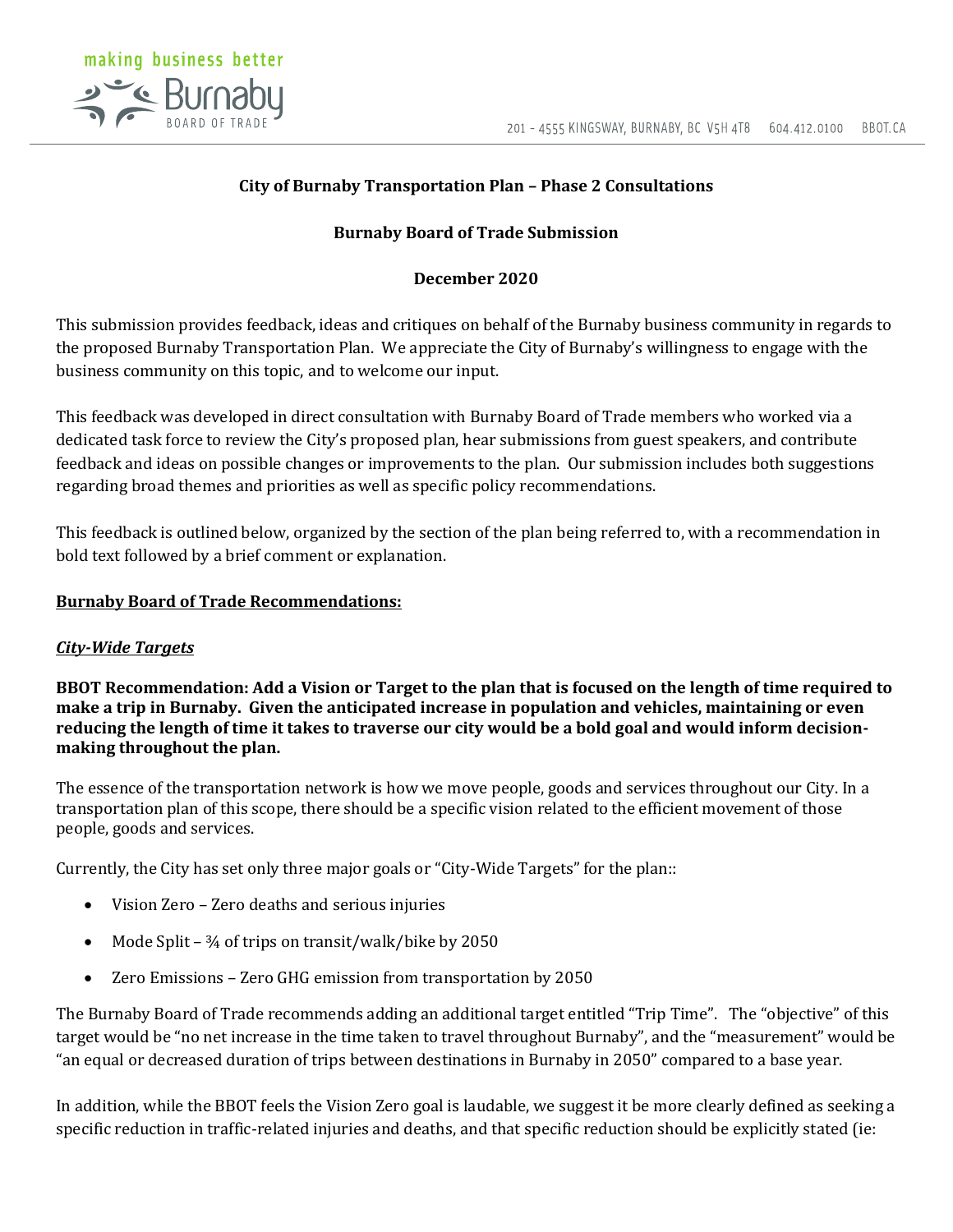

# **City of Burnaby Transportation Plan – Phase 2 Consultations**

## **Burnaby Board of Trade Submission**

## **December 2020**

This submission provides feedback, ideas and critiques on behalf of the Burnaby business community in regards to the proposed Burnaby Transportation Plan. We appreciate the City of Burnaby's willingness to engage with the business community on this topic, and to welcome our input.

This feedback was developed in direct consultation with Burnaby Board of Trade members who worked via a dedicated task force to review the City's proposed plan, hear submissions from guest speakers, and contribute feedback and ideas on possible changes or improvements to the plan. Our submission includes both suggestions regarding broad themes and priorities as well as specific policy recommendations.

This feedback is outlined below, organized by the section of the plan being referred to, with a recommendation in bold text followed by a brief comment or explanation.

#### **Burnaby Board of Trade Recommendations:**

## *City-Wide Targets*

**BBOT Recommendation: Add a Vision or Target to the plan that is focused on the length of time required to make a trip in Burnaby. Given the anticipated increase in population and vehicles, maintaining or even reducing the length of time it takes to traverse our city would be a bold goal and would inform decisionmaking throughout the plan.**

The essence of the transportation network is how we move people, goods and services throughout our City. In a transportation plan of this scope, there should be a specific vision related to the efficient movement of those people, goods and services.

Currently, the City has set only three major goals or "City-Wide Targets" for the plan::

- Vision Zero Zero deaths and serious injuries
- Mode Split 34 of trips on transit/walk/bike by 2050
- Zero Emissions Zero GHG emission from transportation by 2050

The Burnaby Board of Trade recommends adding an additional target entitled "Trip Time". The "objective" of this target would be "no net increase in the time taken to travel throughout Burnaby", and the "measurement" would be "an equal or decreased duration of trips between destinations in Burnaby in 2050" compared to a base year.

In addition, while the BBOT feels the Vision Zero goal is laudable, we suggest it be more clearly defined as seeking a specific reduction in traffic-related injuries and deaths, and that specific reduction should be explicitly stated (ie: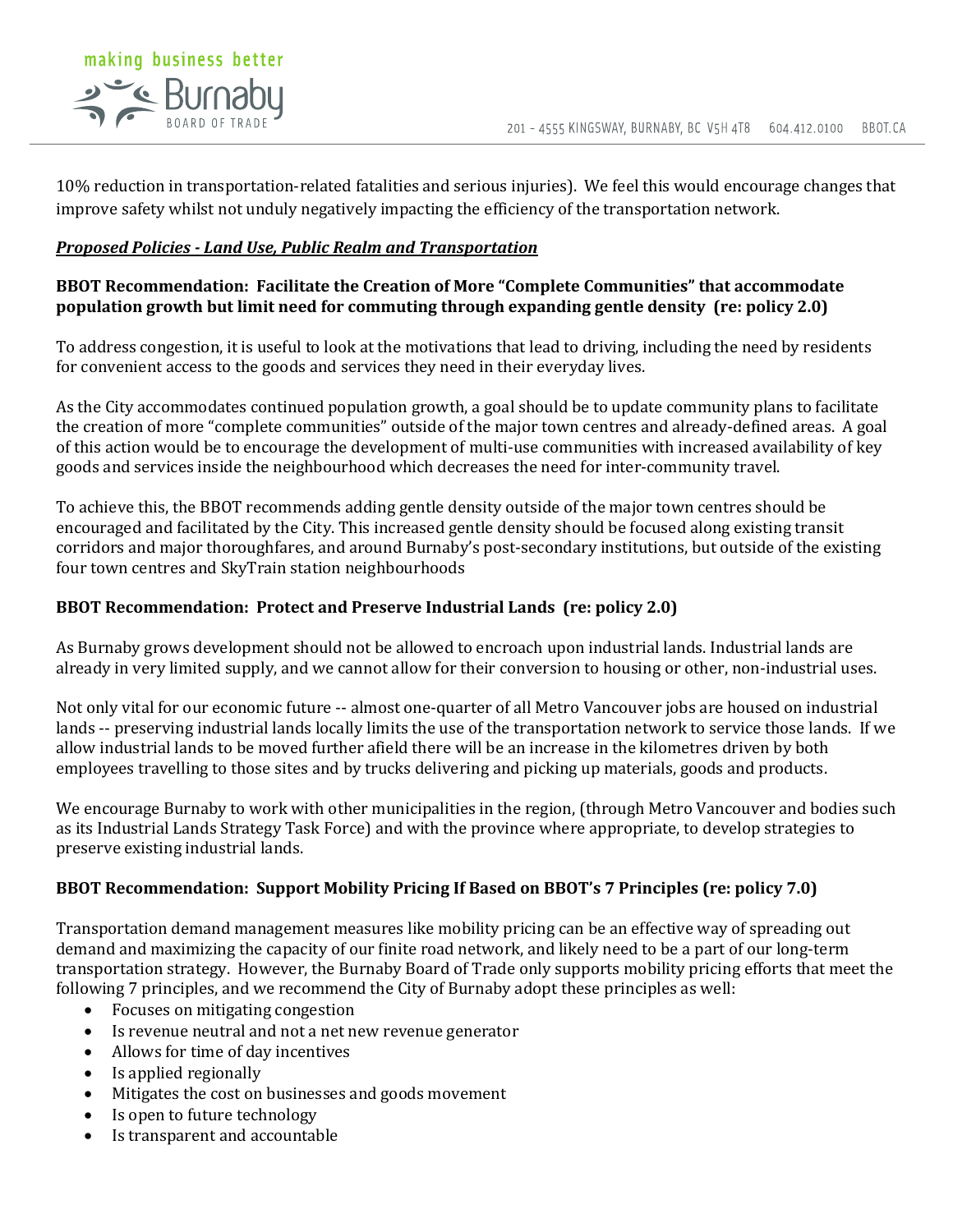

10% reduction in transportation-related fatalities and serious injuries). We feel this would encourage changes that improve safety whilst not unduly negatively impacting the efficiency of the transportation network.

#### *Proposed Policies - Land Use, Public Realm and Transportation*

#### **BBOT Recommendation: Facilitate the Creation of More "Complete Communities" that accommodate population growth but limit need for commuting through expanding gentle density (re: policy 2.0)**

To address congestion, it is useful to look at the motivations that lead to driving, including the need by residents for convenient access to the goods and services they need in their everyday lives.

As the City accommodates continued population growth, a goal should be to update community plans to facilitate the creation of more "complete communities" outside of the major town centres and already-defined areas. A goal of this action would be to encourage the development of multi-use communities with increased availability of key goods and services inside the neighbourhood which decreases the need for inter-community travel.

To achieve this, the BBOT recommends adding gentle density outside of the major town centres should be encouraged and facilitated by the City. This increased gentle density should be focused along existing transit corridors and major thoroughfares, and around Burnaby's post-secondary institutions, but outside of the existing four town centres and SkyTrain station neighbourhoods

## **BBOT Recommendation: Protect and Preserve Industrial Lands (re: policy 2.0)**

As Burnaby grows development should not be allowed to encroach upon industrial lands. Industrial lands are already in very limited supply, and we cannot allow for their conversion to housing or other, non-industrial uses.

Not only vital for our economic future -- almost one-quarter of all Metro Vancouver jobs are housed on industrial lands -- preserving industrial lands locally limits the use of the transportation network to service those lands. If we allow industrial lands to be moved further afield there will be an increase in the kilometres driven by both employees travelling to those sites and by trucks delivering and picking up materials, goods and products.

We encourage Burnaby to work with other municipalities in the region, (through Metro Vancouver and bodies such as its Industrial Lands Strategy Task Force) and with the province where appropriate, to develop strategies to preserve existing industrial lands.

#### **BBOT Recommendation: Support Mobility Pricing If Based on BBOT's 7 Principles (re: policy 7.0)**

Transportation demand management measures like mobility pricing can be an effective way of spreading out demand and maximizing the capacity of our finite road network, and likely need to be a part of our long-term transportation strategy. However, the Burnaby Board of Trade only supports mobility pricing efforts that meet the following 7 principles, and we recommend the City of Burnaby adopt these principles as well:

- Focuses on mitigating congestion
- Is revenue neutral and not a net new revenue generator
- Allows for time of day incentives
- Is applied regionally
- Mitigates the cost on businesses and goods movement
- Is open to future technology
- Is transparent and accountable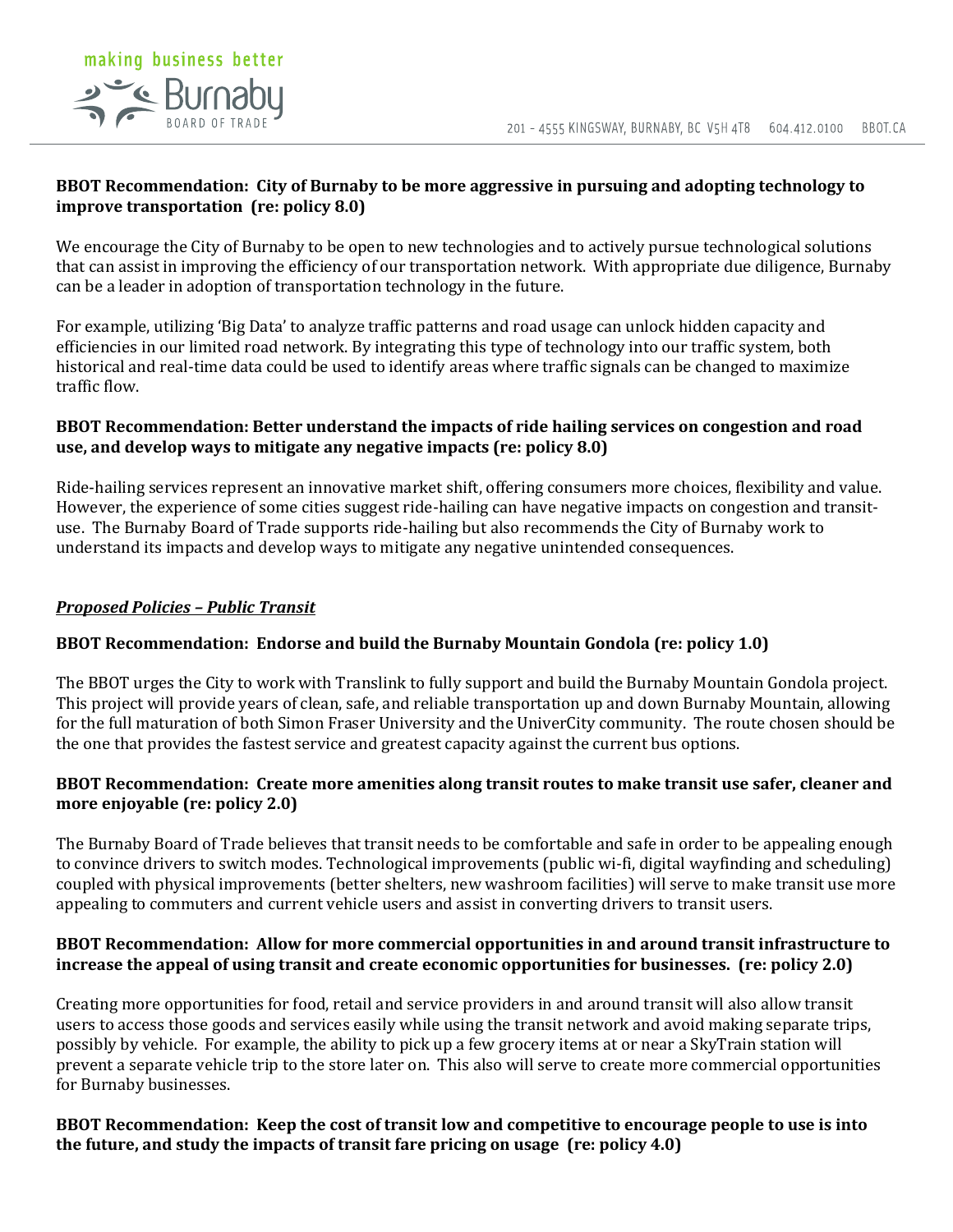#### **BBOT Recommendation: City of Burnaby to be more aggressive in pursuing and adopting technology to improve transportation (re: policy 8.0)**

We encourage the City of Burnaby to be open to new technologies and to actively pursue technological solutions that can assist in improving the efficiency of our transportation network. With appropriate due diligence, Burnaby can be a leader in adoption of transportation technology in the future.

For example, utilizing 'Big Data' to analyze traffic patterns and road usage can unlock hidden capacity and efficiencies in our limited road network. By integrating this type of technology into our traffic system, both historical and real-time data could be used to identify areas where traffic signals can be changed to maximize traffic flow.

#### **BBOT Recommendation: Better understand the impacts of ride hailing services on congestion and road use, and develop ways to mitigate any negative impacts (re: policy 8.0)**

Ride-hailing services represent an innovative market shift, offering consumers more choices, flexibility and value. However, the experience of some cities suggest ride-hailing can have negative impacts on congestion and transituse. The Burnaby Board of Trade supports ride-hailing but also recommends the City of Burnaby work to understand its impacts and develop ways to mitigate any negative unintended consequences.

#### *Proposed Policies – Public Transit*

## **BBOT Recommendation: Endorse and build the Burnaby Mountain Gondola (re: policy 1.0)**

The BBOT urges the City to work with Translink to fully support and build the Burnaby Mountain Gondola project. This project will provide years of clean, safe, and reliable transportation up and down Burnaby Mountain, allowing for the full maturation of both Simon Fraser University and the UniverCity community. The route chosen should be the one that provides the fastest service and greatest capacity against the current bus options.

#### **BBOT Recommendation: Create more amenities along transit routes to make transit use safer, cleaner and more enjoyable (re: policy 2.0)**

The Burnaby Board of Trade believes that transit needs to be comfortable and safe in order to be appealing enough to convince drivers to switch modes. Technological improvements (public wi-fi, digital wayfinding and scheduling) coupled with physical improvements (better shelters, new washroom facilities) will serve to make transit use more appealing to commuters and current vehicle users and assist in converting drivers to transit users.

#### **BBOT Recommendation: Allow for more commercial opportunities in and around transit infrastructure to increase the appeal of using transit and create economic opportunities for businesses. (re: policy 2.0)**

Creating more opportunities for food, retail and service providers in and around transit will also allow transit users to access those goods and services easily while using the transit network and avoid making separate trips, possibly by vehicle. For example, the ability to pick up a few grocery items at or near a SkyTrain station will prevent a separate vehicle trip to the store later on. This also will serve to create more commercial opportunities for Burnaby businesses.

#### **BBOT Recommendation: Keep the cost of transit low and competitive to encourage people to use is into the future, and study the impacts of transit fare pricing on usage (re: policy 4.0)**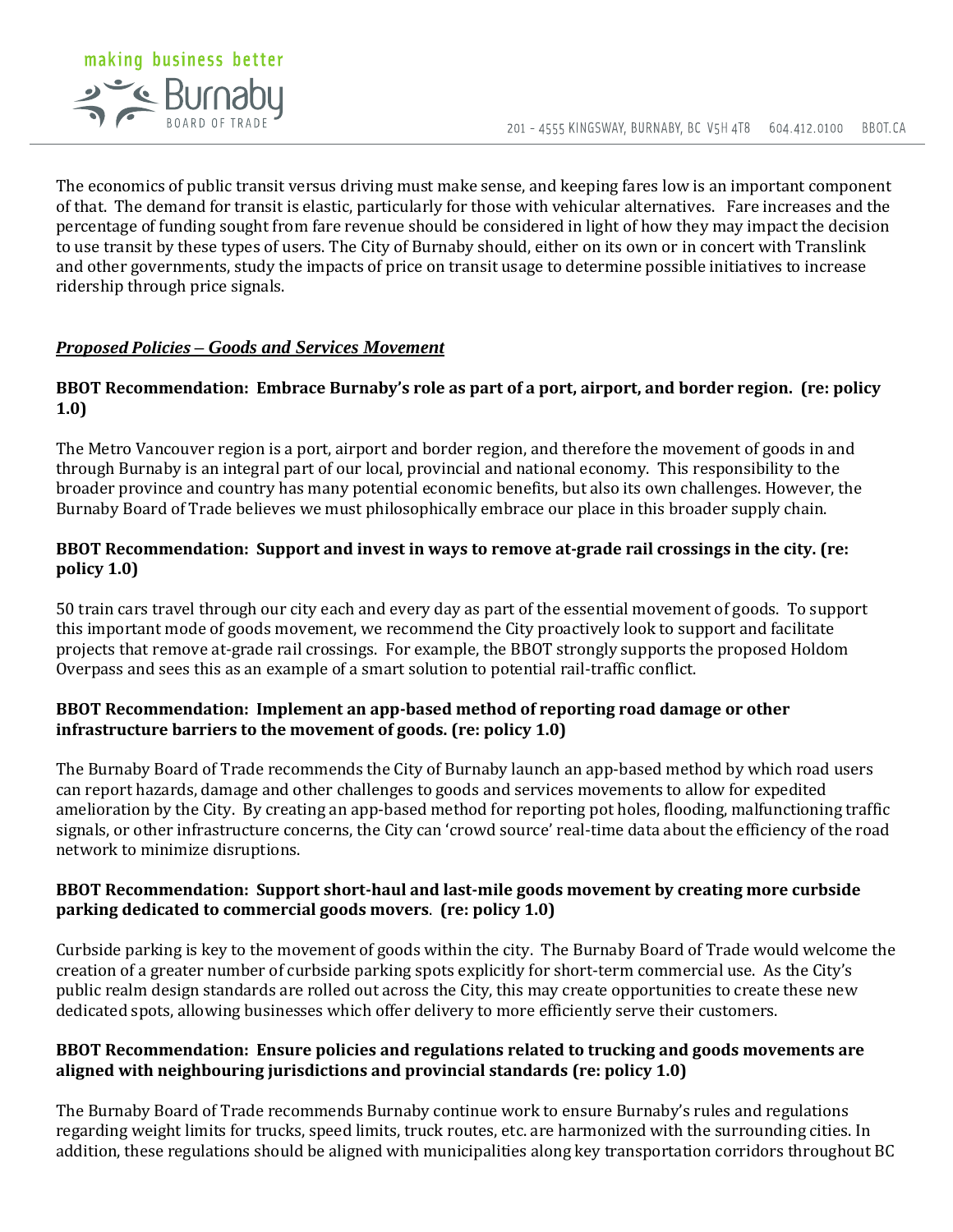

The economics of public transit versus driving must make sense, and keeping fares low is an important component of that. The demand for transit is elastic, particularly for those with vehicular alternatives. Fare increases and the percentage of funding sought from fare revenue should be considered in light of how they may impact the decision to use transit by these types of users. The City of Burnaby should, either on its own or in concert with Translink and other governments, study the impacts of price on transit usage to determine possible initiatives to increase ridership through price signals.

#### *Proposed Policies – Goods and Services Movement*

#### **BBOT Recommendation: Embrace Burnaby's role as part of a port, airport, and border region. (re: policy 1.0)**

The Metro Vancouver region is a port, airport and border region, and therefore the movement of goods in and through Burnaby is an integral part of our local, provincial and national economy. This responsibility to the broader province and country has many potential economic benefits, but also its own challenges. However, the Burnaby Board of Trade believes we must philosophically embrace our place in this broader supply chain.

## **BBOT Recommendation: Support and invest in ways to remove at-grade rail crossings in the city. (re: policy 1.0)**

50 train cars travel through our city each and every day as part of the essential movement of goods. To support this important mode of goods movement, we recommend the City proactively look to support and facilitate projects that remove at-grade rail crossings. For example, the BBOT strongly supports the proposed Holdom Overpass and sees this as an example of a smart solution to potential rail-traffic conflict.

#### **BBOT Recommendation: Implement an app-based method of reporting road damage or other infrastructure barriers to the movement of goods. (re: policy 1.0)**

The Burnaby Board of Trade recommends the City of Burnaby launch an app-based method by which road users can report hazards, damage and other challenges to goods and services movements to allow for expedited amelioration by the City. By creating an app-based method for reporting pot holes, flooding, malfunctioning traffic signals, or other infrastructure concerns, the City can 'crowd source' real-time data about the efficiency of the road network to minimize disruptions.

#### **BBOT Recommendation: Support short-haul and last-mile goods movement by creating more curbside parking dedicated to commercial goods movers**. **(re: policy 1.0)**

Curbside parking is key to the movement of goods within the city. The Burnaby Board of Trade would welcome the creation of a greater number of curbside parking spots explicitly for short-term commercial use. As the City's public realm design standards are rolled out across the City, this may create opportunities to create these new dedicated spots, allowing businesses which offer delivery to more efficiently serve their customers.

## **BBOT Recommendation: Ensure policies and regulations related to trucking and goods movements are aligned with neighbouring jurisdictions and provincial standards (re: policy 1.0)**

The Burnaby Board of Trade recommends Burnaby continue work to ensure Burnaby's rules and regulations regarding weight limits for trucks, speed limits, truck routes, etc. are harmonized with the surrounding cities. In addition, these regulations should be aligned with municipalities along key transportation corridors throughout BC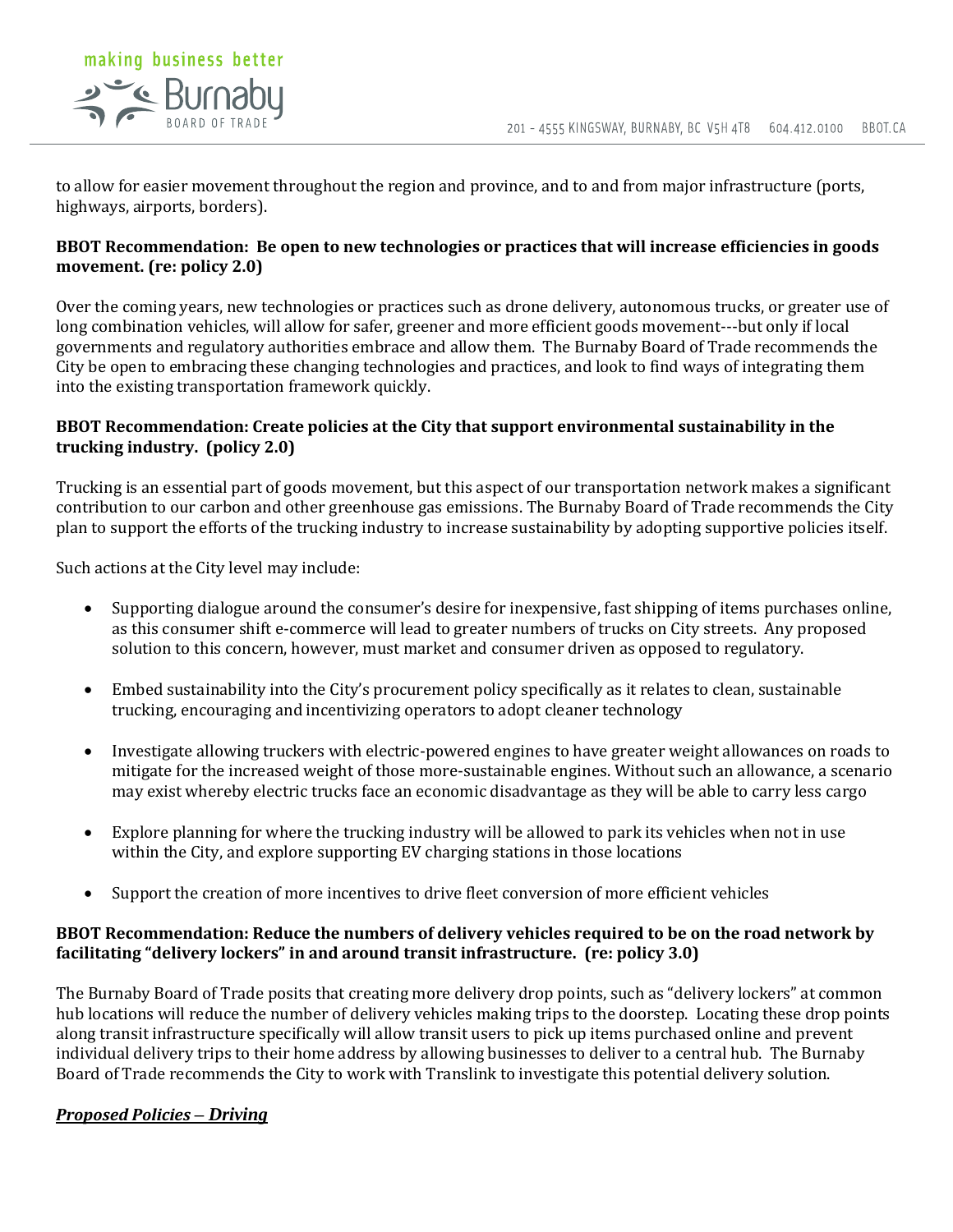

to allow for easier movement throughout the region and province, and to and from major infrastructure (ports, highways, airports, borders).

## **BBOT Recommendation: Be open to new technologies or practices that will increase efficiencies in goods movement. (re: policy 2.0)**

Over the coming years, new technologies or practices such as drone delivery, autonomous trucks, or greater use of long combination vehicles, will allow for safer, greener and more efficient goods movement---but only if local governments and regulatory authorities embrace and allow them. The Burnaby Board of Trade recommends the City be open to embracing these changing technologies and practices, and look to find ways of integrating them into the existing transportation framework quickly.

## **BBOT Recommendation: Create policies at the City that support environmental sustainability in the trucking industry. (policy 2.0)**

Trucking is an essential part of goods movement, but this aspect of our transportation network makes a significant contribution to our carbon and other greenhouse gas emissions. The Burnaby Board of Trade recommends the City plan to support the efforts of the trucking industry to increase sustainability by adopting supportive policies itself.

Such actions at the City level may include:

- Supporting dialogue around the consumer's desire for inexpensive, fast shipping of items purchases online, as this consumer shift e-commerce will lead to greater numbers of trucks on City streets. Any proposed solution to this concern, however, must market and consumer driven as opposed to regulatory.
- Embed sustainability into the City's procurement policy specifically as it relates to clean, sustainable trucking, encouraging and incentivizing operators to adopt cleaner technology
- Investigate allowing truckers with electric-powered engines to have greater weight allowances on roads to mitigate for the increased weight of those more-sustainable engines. Without such an allowance, a scenario may exist whereby electric trucks face an economic disadvantage as they will be able to carry less cargo
- Explore planning for where the trucking industry will be allowed to park its vehicles when not in use within the City, and explore supporting EV charging stations in those locations
- Support the creation of more incentives to drive fleet conversion of more efficient vehicles

# **BBOT Recommendation: Reduce the numbers of delivery vehicles required to be on the road network by facilitating "delivery lockers" in and around transit infrastructure. (re: policy 3.0)**

The Burnaby Board of Trade posits that creating more delivery drop points, such as "delivery lockers" at common hub locations will reduce the number of delivery vehicles making trips to the doorstep. Locating these drop points along transit infrastructure specifically will allow transit users to pick up items purchased online and prevent individual delivery trips to their home address by allowing businesses to deliver to a central hub. The Burnaby Board of Trade recommends the City to work with Translink to investigate this potential delivery solution.

## *Proposed Policies – Driving*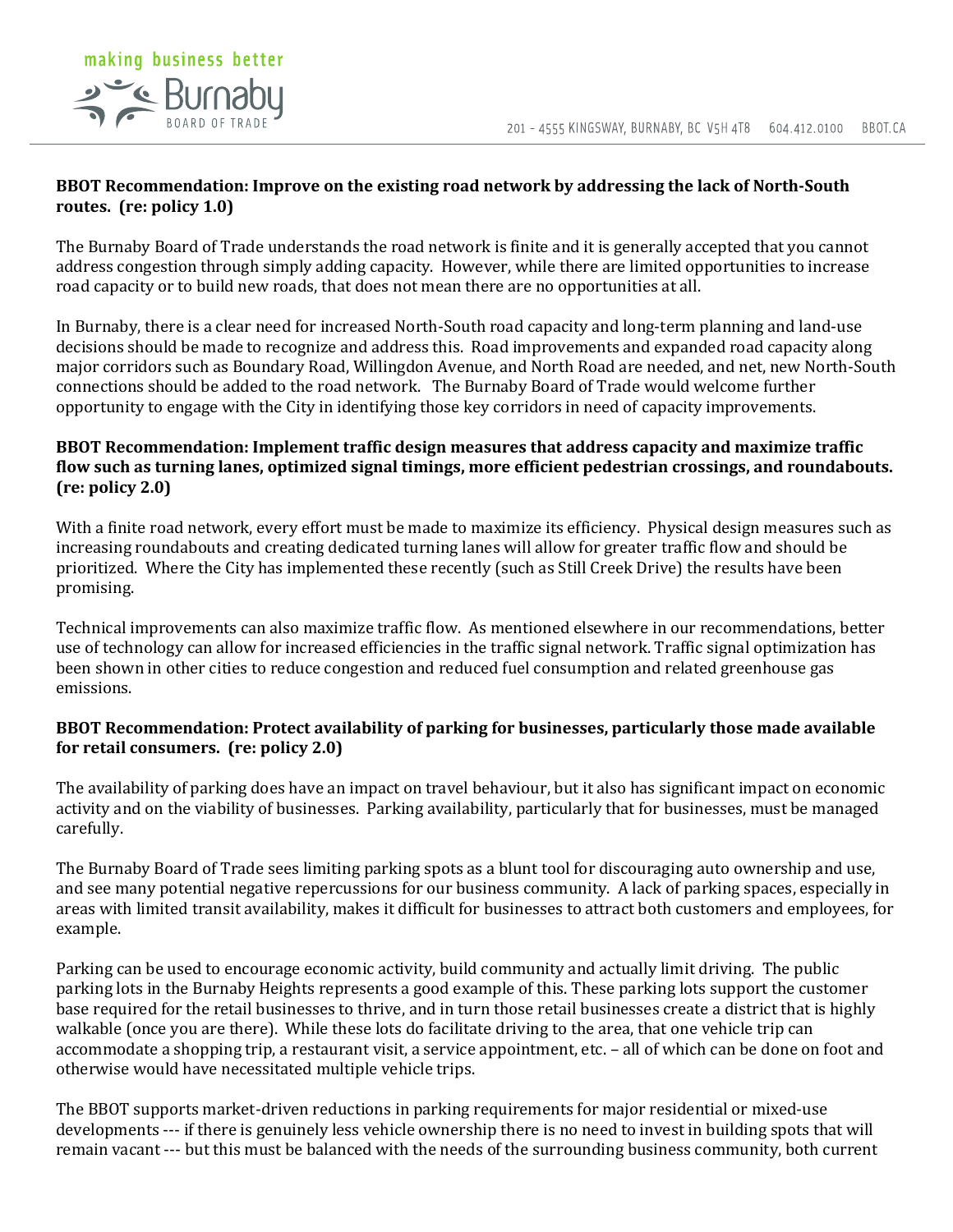# making business better Se Burnaby

## **BBOT Recommendation: Improve on the existing road network by addressing the lack of North-South routes. (re: policy 1.0)**

The Burnaby Board of Trade understands the road network is finite and it is generally accepted that you cannot address congestion through simply adding capacity. However, while there are limited opportunities to increase road capacity or to build new roads, that does not mean there are no opportunities at all.

In Burnaby, there is a clear need for increased North-South road capacity and long-term planning and land-use decisions should be made to recognize and address this. Road improvements and expanded road capacity along major corridors such as Boundary Road, Willingdon Avenue, and North Road are needed, and net, new North-South connections should be added to the road network. The Burnaby Board of Trade would welcome further opportunity to engage with the City in identifying those key corridors in need of capacity improvements.

# **BBOT Recommendation: Implement traffic design measures that address capacity and maximize traffic flow such as turning lanes, optimized signal timings, more efficient pedestrian crossings, and roundabouts. (re: policy 2.0)**

With a finite road network, every effort must be made to maximize its efficiency. Physical design measures such as increasing roundabouts and creating dedicated turning lanes will allow for greater traffic flow and should be prioritized. Where the City has implemented these recently (such as Still Creek Drive) the results have been promising.

Technical improvements can also maximize traffic flow. As mentioned elsewhere in our recommendations, better use of technology can allow for increased efficiencies in the traffic signal network. Traffic signal optimization has been shown in other cities to reduce congestion and reduced fuel consumption and related greenhouse gas emissions.

# **BBOT Recommendation: Protect availability of parking for businesses, particularly those made available for retail consumers. (re: policy 2.0)**

The availability of parking does have an impact on travel behaviour, but it also has significant impact on economic activity and on the viability of businesses. Parking availability, particularly that for businesses, must be managed carefully.

The Burnaby Board of Trade sees limiting parking spots as a blunt tool for discouraging auto ownership and use, and see many potential negative repercussions for our business community. A lack of parking spaces, especially in areas with limited transit availability, makes it difficult for businesses to attract both customers and employees, for example.

Parking can be used to encourage economic activity, build community and actually limit driving. The public parking lots in the Burnaby Heights represents a good example of this. These parking lots support the customer base required for the retail businesses to thrive, and in turn those retail businesses create a district that is highly walkable (once you are there). While these lots do facilitate driving to the area, that one vehicle trip can accommodate a shopping trip, a restaurant visit, a service appointment, etc. – all of which can be done on foot and otherwise would have necessitated multiple vehicle trips.

The BBOT supports market-driven reductions in parking requirements for major residential or mixed-use developments --- if there is genuinely less vehicle ownership there is no need to invest in building spots that will remain vacant --- but this must be balanced with the needs of the surrounding business community, both current